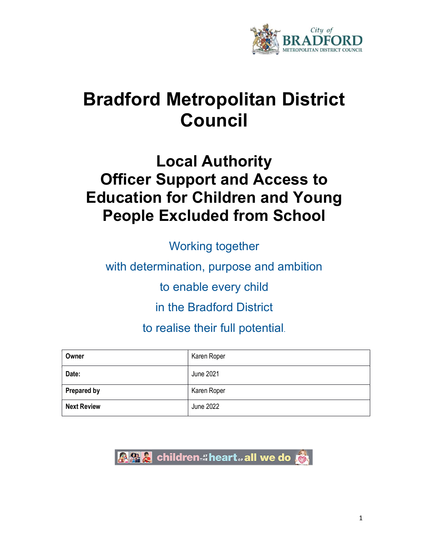

# Bradford Metropolitan District Council

## Local Authority Officer Support and Access to Education for Children and Young People Excluded from School

Working together

with determination, purpose and ambition

to enable every child

in the Bradford District

to realise their full potential.

| Owner              | Karen Roper |
|--------------------|-------------|
| Date:              | June 2021   |
| <b>Prepared by</b> | Karen Roper |
| <b>Next Review</b> | June 2022   |

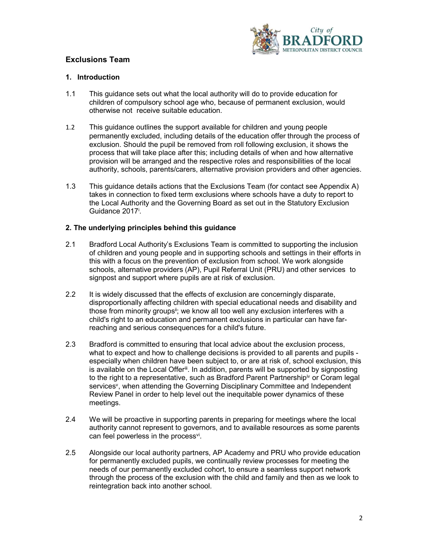

### Exclusions Team

#### 1. Introduction

- 1.1 This guidance sets out what the local authority will do to provide education for children of compulsory school age who, because of permanent exclusion, would otherwise not receive suitable education.
- 1.2 This guidance outlines the support available for children and young people permanently excluded, including details of the education offer through the process of exclusion. Should the pupil be removed from roll following exclusion, it shows the process that will take place after this; including details of when and how alternative provision will be arranged and the respective roles and responsibilities of the local authority, schools, parents/carers, alternative provision providers and other agencies.
- 1.3 This guidance details actions that the Exclusions Team (for contact see Appendix A) takes in connection to fixed term exclusions where schools have a duty to report to the Local Authority and the Governing Board as set out in the Statutory Exclusion Guidance 2017<sup>i</sup>.

#### 2. The underlying principles behind this guidance

- 2.1 Bradford Local Authority's Exclusions Team is committed to supporting the inclusion of children and young people and in supporting schools and settings in their efforts in this with a focus on the prevention of exclusion from school. We work alongside schools, alternative providers (AP), Pupil Referral Unit (PRU) and other services to signpost and support where pupils are at risk of exclusion.
- 2.2 It is widely discussed that the effects of exclusion are concerningly disparate, disproportionally affecting children with special educational needs and disability and those from minority groups<sup>ii</sup>; we know all too well any exclusion interferes with a child's right to an education and permanent exclusions in particular can have far reaching and serious consequences for a child's future.
- 2.3 Bradford is committed to ensuring that local advice about the exclusion process, what to expect and how to challenge decisions is provided to all parents and pupils especially when children have been subject to, or are at risk of, school exclusion, this is available on the Local Offer<sup>iii</sup>. In addition, parents will be supported by signposting to the right to a representative, such as Bradford Parent Partnership $\dot{v}$  or Coram legal services<sup>v</sup>, when attending the Governing Disciplinary Committee and Independent Review Panel in order to help level out the inequitable power dynamics of these meetings.
- 2.4 We will be proactive in supporting parents in preparing for meetings where the local authority cannot represent to governors, and to available resources as some parents can feel powerless in the process<sup>vi</sup>.
- 2.5 Alongside our local authority partners, AP Academy and PRU who provide education for permanently excluded pupils, we continually review processes for meeting the needs of our permanently excluded cohort, to ensure a seamless support network through the process of the exclusion with the child and family and then as we look to reintegration back into another school.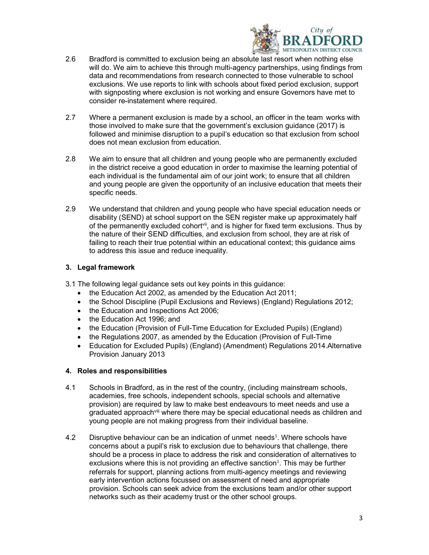

- 2.6 Bradford is committed to exclusion being an absolute last resort when nothing else will do. We aim to achieve this through multi-agency partnerships, using findings from data and recommendations from research connected to those vulnerable to school exclusions. We use reports to link with schools about fixed period exclusion, support with signposting where exclusion is not working and ensure Governors have met to consider re-instatement where required.
- 2.7 Where a permanent exclusion is made by a school, an officer in the team works with those involved to make sure that the government's exclusion guidance (2017) is followed and minimise disruption to a pupil's education so that exclusion from school does not mean exclusion from education.
- 2.8 We aim to ensure that all children and young people who are permanently excluded in the district receive a good education in order to maximise the learning potential of each individual is the fundamental aim of our joint work; to ensure that all children and young people are given the opportunity of an inclusive education that meets their specific needs.
- 2.9 We understand that children and young people who have special education needs or disability (SEND) at school support on the SEN register make up approximately half of the permanently excluded cohort<sup>vii</sup>, and is higher for fixed term exclusions. Thus by the nature of their SEND difficulties, and exclusion from school, they are at risk of failing to reach their true potential within an educational context; this guidance aims to address this issue and reduce inequality.

#### 3. Legal framework

- 3.1 The following legal guidance sets out key points in this guidance:
	- the Education Act 2002, as amended by the Education Act 2011;
	- the School Discipline (Pupil Exclusions and Reviews) (England) Regulations 2012;
	- the Education and Inspections Act 2006;
	- the Education Act 1996; and
	- the Education (Provision of Full-Time Education for Excluded Pupils) (England)
	- the Regulations 2007, as amended by the Education (Provision of Full-Time
	- Education for Excluded Pupils) (England) (Amendment) Regulations 2014.Alternative Provision January 2013

#### 4. Roles and responsibilities

- 4.1 Schools in Bradford, as in the rest of the country, (including mainstream schools, academies, free schools, independent schools, special schools and alternative provision) are required by law to make best endeavours to meet needs and use a graduated approach<sup>viii</sup> where there may be special educational needs as children and young people are not making progress from their individual baseline.
- 4.2 Disruptive behaviour can be an indication of unmet needs<sup>1</sup>. Where schools have concerns about a pupil's risk to exclusion due to behaviours that challenge, there should be a process in place to address the risk and consideration of alternatives to exclusions where this is not providing an effective sanction $<sup>1</sup>$ . This may be further</sup> referrals for support, planning actions from multi-agency meetings and reviewing early intervention actions focussed on assessment of need and appropriate provision. Schools can seek advice from the exclusions team and/or other support networks such as their academy trust or the other school groups.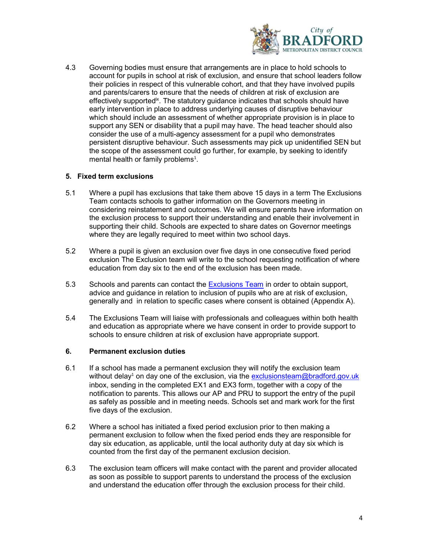

4.3 Governing bodies must ensure that arrangements are in place to hold schools to account for pupils in school at risk of exclusion, and ensure that school leaders follow their policies in respect of this vulnerable cohort, and that they have involved pupils and parents/carers to ensure that the needs of children at risk of exclusion are effectively supported<sup>ix</sup>. The statutory guidance indicates that schools should have early intervention in place to address underlying causes of disruptive behaviour which should include an assessment of whether appropriate provision is in place to support any SEN or disability that a pupil may have. The head teacher should also consider the use of a multi-agency assessment for a pupil who demonstrates persistent disruptive behaviour. Such assessments may pick up unidentified SEN but the scope of the assessment could go further, for example, by seeking to identify mental health or family problems $^1$ .

#### 5. Fixed term exclusions

- 5.1 Where a pupil has exclusions that take them above 15 days in a term The Exclusions Team contacts schools to gather information on the Governors meeting in considering reinstatement and outcomes. We will ensure parents have information on the exclusion process to support their understanding and enable their involvement in supporting their child. Schools are expected to share dates on Governor meetings where they are legally required to meet within two school days.
- 5.2 Where a pupil is given an exclusion over five days in one consecutive fixed period exclusion The Exclusion team will write to the school requesting notification of where education from day six to the end of the exclusion has been made.
- 5.3 Schools and parents can contact the Exclusions Team in order to obtain support, advice and guidance in relation to inclusion of pupils who are at risk of exclusion, generally and in relation to specific cases where consent is obtained (Appendix A).
- 5.4 The Exclusions Team will liaise with professionals and colleagues within both health and education as appropriate where we have consent in order to provide support to schools to ensure children at risk of exclusion have appropriate support.

#### 6. Permanent exclusion duties

- 6.1 If a school has made a permanent exclusion they will notify the exclusion team without delay<sup>1</sup> on day one of the exclusion, via the exclusionsteam@bradford.gov.uk inbox, sending in the completed EX1 and EX3 form, together with a copy of the notification to parents. This allows our AP and PRU to support the entry of the pupil as safely as possible and in meeting needs. Schools set and mark work for the first five days of the exclusion.
- 6.2 Where a school has initiated a fixed period exclusion prior to then making a permanent exclusion to follow when the fixed period ends they are responsible for day six education, as applicable, until the local authority duty at day six which is counted from the first day of the permanent exclusion decision.
- 6.3 The exclusion team officers will make contact with the parent and provider allocated as soon as possible to support parents to understand the process of the exclusion and understand the education offer through the exclusion process for their child.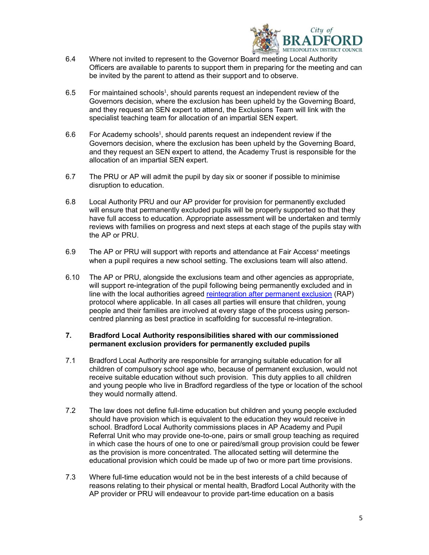

- 6.4 Where not invited to represent to the Governor Board meeting Local Authority Officers are available to parents to support them in preparing for the meeting and can be invited by the parent to attend as their support and to observe.
- 6.5 For maintained schools<sup>1</sup>, should parents request an independent review of the Governors decision, where the exclusion has been upheld by the Governing Board, and they request an SEN expert to attend, the Exclusions Team will link with the specialist teaching team for allocation of an impartial SEN expert.
- 6.6 For Academy schools<sup>1</sup>, should parents request an independent review if the Governors decision, where the exclusion has been upheld by the Governing Board, and they request an SEN expert to attend, the Academy Trust is responsible for the allocation of an impartial SEN expert.
- 6.7 The PRU or AP will admit the pupil by day six or sooner if possible to minimise disruption to education.
- 6.8 Local Authority PRU and our AP provider for provision for permanently excluded will ensure that permanently excluded pupils will be properly supported so that they have full access to education. Appropriate assessment will be undertaken and termly reviews with families on progress and next steps at each stage of the pupils stay with the AP or PRU.
- 6.9 The AP or PRU will support with reports and attendance at Fair Access<sup>x</sup> meetings when a pupil requires a new school setting. The exclusions team will also attend.
- 6.10 The AP or PRU, alongside the exclusions team and other agencies as appropriate, will support re-integration of the pupil following being permanently excluded and in line with the local authorities agreed reintegration after permanent exclusion (RAP) protocol where applicable. In all cases all parties will ensure that children, young people and their families are involved at every stage of the process using person centred planning as best practice in scaffolding for successful re-integration.

#### 7. Bradford Local Authority responsibilities shared with our commissioned permanent exclusion providers for permanently excluded pupils

- 7.1 Bradford Local Authority are responsible for arranging suitable education for all children of compulsory school age who, because of permanent exclusion, would not receive suitable education without such provision. This duty applies to all children and young people who live in Bradford regardless of the type or location of the school they would normally attend.
- 7.2 The law does not define full-time education but children and young people excluded should have provision which is equivalent to the education they would receive in school. Bradford Local Authority commissions places in AP Academy and Pupil Referral Unit who may provide one-to-one, pairs or small group teaching as required in which case the hours of one to one or paired/small group provision could be fewer as the provision is more concentrated. The allocated setting will determine the educational provision which could be made up of two or more part time provisions.
- 7.3 Where full-time education would not be in the best interests of a child because of reasons relating to their physical or mental health, Bradford Local Authority with the AP provider or PRU will endeavour to provide part-time education on a basis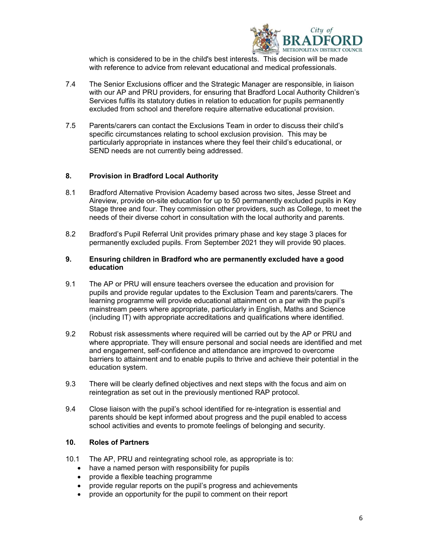

 which is considered to be in the child's best interests. This decision will be made with reference to advice from relevant educational and medical professionals.

- 7.4 The Senior Exclusions officer and the Strategic Manager are responsible, in liaison with our AP and PRU providers, for ensuring that Bradford Local Authority Children's Services fulfils its statutory duties in relation to education for pupils permanently excluded from school and therefore require alternative educational provision.
- 7.5 Parents/carers can contact the Exclusions Team in order to discuss their child's specific circumstances relating to school exclusion provision. This may be particularly appropriate in instances where they feel their child's educational, or SEND needs are not currently being addressed.

#### 8. Provision in Bradford Local Authority

- 8.1 Bradford Alternative Provision Academy based across two sites, Jesse Street and Aireview, provide on-site education for up to 50 permanently excluded pupils in Key Stage three and four. They commission other providers, such as College, to meet the needs of their diverse cohort in consultation with the local authority and parents.
- 8.2 Bradford's Pupil Referral Unit provides primary phase and key stage 3 places for permanently excluded pupils. From September 2021 they will provide 90 places.

#### 9. Ensuring children in Bradford who are permanently excluded have a good education

- 9.1 The AP or PRU will ensure teachers oversee the education and provision for pupils and provide regular updates to the Exclusion Team and parents/carers. The learning programme will provide educational attainment on a par with the pupil's mainstream peers where appropriate, particularly in English, Maths and Science (including IT) with appropriate accreditations and qualifications where identified.
- 9.2 Robust risk assessments where required will be carried out by the AP or PRU and where appropriate. They will ensure personal and social needs are identified and met and engagement, self-confidence and attendance are improved to overcome barriers to attainment and to enable pupils to thrive and achieve their potential in the education system.
- 9.3 There will be clearly defined objectives and next steps with the focus and aim on reintegration as set out in the previously mentioned RAP protocol.
- 9.4 Close liaison with the pupil's school identified for re-integration is essential and parents should be kept informed about progress and the pupil enabled to access school activities and events to promote feelings of belonging and security.

#### 10. Roles of Partners

- 10.1 The AP, PRU and reintegrating school role, as appropriate is to:
	- have a named person with responsibility for pupils
	- provide a flexible teaching programme
	- provide regular reports on the pupil's progress and achievements
	- provide an opportunity for the pupil to comment on their report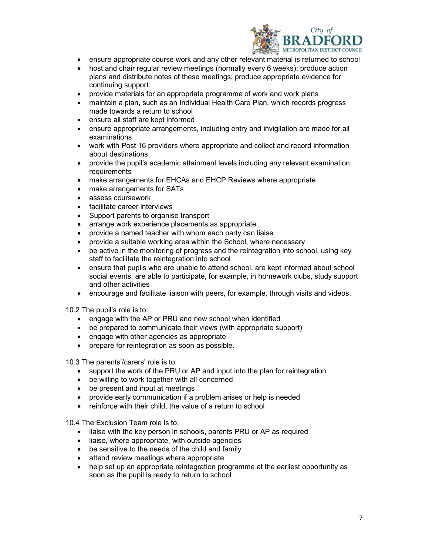

- ensure appropriate course work and any other relevant material is returned to school
- host and chair regular review meetings (normally every 6 weeks); produce action plans and distribute notes of these meetings; produce appropriate evidence for continuing support.
- provide materials for an appropriate programme of work and work plans
- maintain a plan, such as an Individual Health Care Plan, which records progress made towards a return to school
- ensure all staff are kept informed
- ensure appropriate arrangements, including entry and invigilation are made for all examinations
- work with Post 16 providers where appropriate and collect and record information about destinations
- provide the pupil's academic attainment levels including any relevant examination requirements
- make arrangements for EHCAs and EHCP Reviews where appropriate
- make arrangements for SATs
- assess coursework
- facilitate career interviews
- Support parents to organise transport
- arrange work experience placements as appropriate
- provide a named teacher with whom each party can liaise
- provide a suitable working area within the School, where necessary
- be active in the monitoring of progress and the reintegration into school, using key staff to facilitate the reintegration into school
- ensure that pupils who are unable to attend school, are kept informed about school social events, are able to participate, for example, in homework clubs, study support and other activities
- encourage and facilitate liaison with peers, for example, through visits and videos.

10.2 The pupil's role is to:

- engage with the AP or PRU and new school when identified
- be prepared to communicate their views (with appropriate support)
- engage with other agencies as appropriate
- prepare for reintegration as soon as possible.

10.3 The parents'/carers' role is to:

- support the work of the PRU or AP and input into the plan for reintegration
- be willing to work together with all concerned
- be present and input at meetings
- provide early communication if a problem arises or help is needed
- reinforce with their child, the value of a return to school

10.4 The Exclusion Team role is to:

- liaise with the key person in schools, parents PRU or AP as required
- liaise, where appropriate, with outside agencies
- be sensitive to the needs of the child and family
- attend review meetings where appropriate
- help set up an appropriate reintegration programme at the earliest opportunity as soon as the pupil is ready to return to school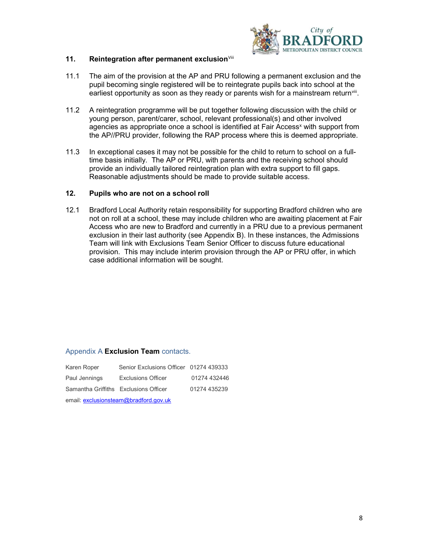

#### 11. Reintegration after permanent exclusion<sup>Viii</sup>

- 11.1 The aim of the provision at the AP and PRU following a permanent exclusion and the pupil becoming single registered will be to reintegrate pupils back into school at the earliest opportunity as soon as they ready or parents wish for a mainstream return $\text{v}$ iii.
- 11.2 A reintegration programme will be put together following discussion with the child or young person, parent/carer, school, relevant professional(s) and other involved agencies as appropriate once a school is identified at Fair Access<sup>x</sup> with support from the AP//PRU provider, following the RAP process where this is deemed appropriate.
- 11.3 In exceptional cases it may not be possible for the child to return to school on a full time basis initially. The AP or PRU, with parents and the receiving school should provide an individually tailored reintegration plan with extra support to fill gaps. Reasonable adjustments should be made to provide suitable access.

#### 12. Pupils who are not on a school roll

12.1 Bradford Local Authority retain responsibility for supporting Bradford children who are not on roll at a school, these may include children who are awaiting placement at Fair Access who are new to Bradford and currently in a PRU due to a previous permanent exclusion in their last authority (see Appendix B). In these instances, the Admissions Team will link with Exclusions Team Senior Officer to discuss future educational provision. This may include interim provision through the AP or PRU offer, in which case additional information will be sought.

#### Appendix A Exclusion Team contacts.

| Karen Roper                           | Senior Exclusions Officer 01274 439333 |              |  |
|---------------------------------------|----------------------------------------|--------------|--|
| Paul Jennings                         | <b>Exclusions Officer</b>              | 01274 432446 |  |
| Samantha Griffiths Exclusions Officer |                                        | 01274 435239 |  |
| email: exclusionsteam@bradford.gov.uk |                                        |              |  |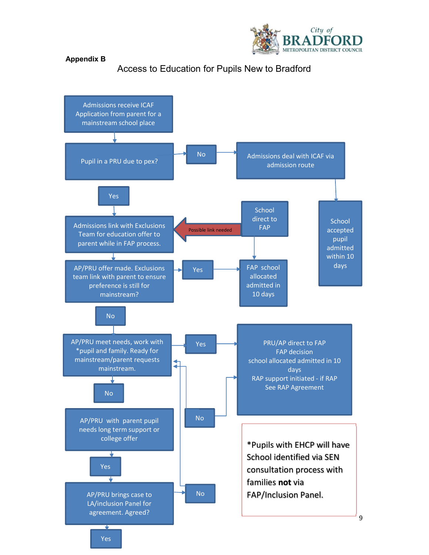

#### Appendix B

Access to Education for Pupils New to Bradford